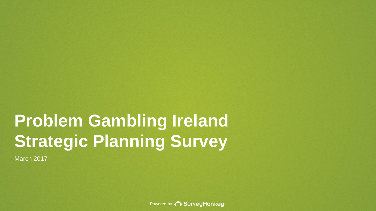# **Problem Gambling Ireland Strategic Planning Survey**

March 2017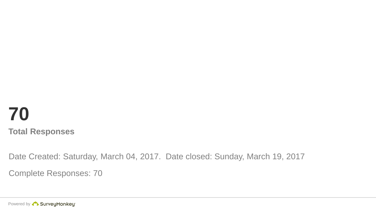# **70 Total Responses**

Date Created: Saturday, March 04, 2017. Date closed: Sunday, March 19, 2017

Complete Responses: 70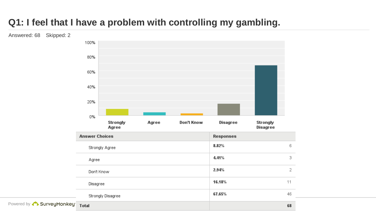# **Q1: I feel that I have a problem with controlling my gambling.**

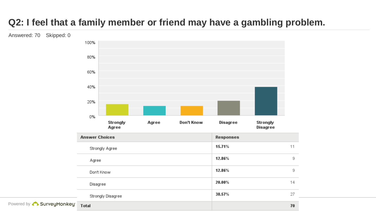# **Q2: I feel that a family member or friend may have a gambling problem.**

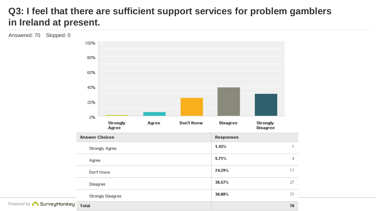#### **Q3: I feel that there are sufficient support services for problem gamblers in Ireland at present.**

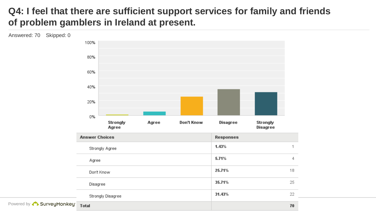#### **Q4: I feel that there are sufficient support services for family and friends of problem gamblers in Ireland at present.**

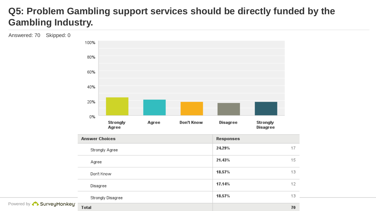### **Q5: Problem Gambling support services should be directly funded by the Gambling Industry.**

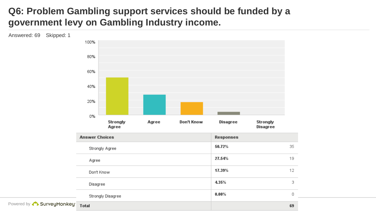## **Q6: Problem Gambling support services should be funded by a government levy on Gambling Industry income.**

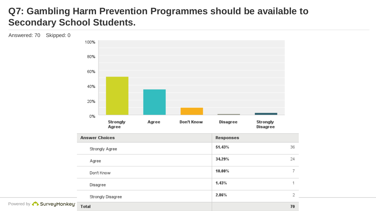#### **Q7: Gambling Harm Prevention Programmes should be available to Secondary School Students.**

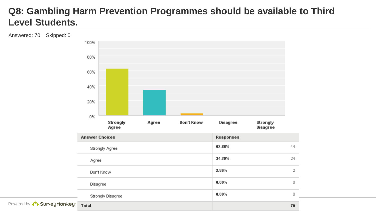#### **Q8: Gambling Harm Prevention Programmes should be available to Third Level Students.**

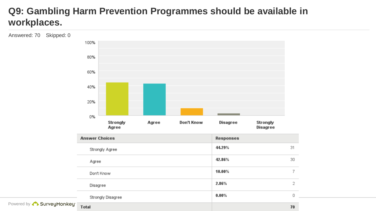## **Q9: Gambling Harm Prevention Programmes should be available in workplaces.**

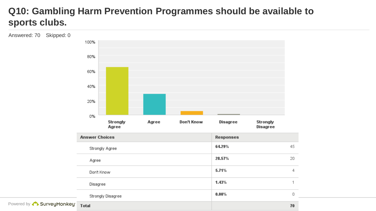# **Q10: Gambling Harm Prevention Programmes should be available to sports clubs.**

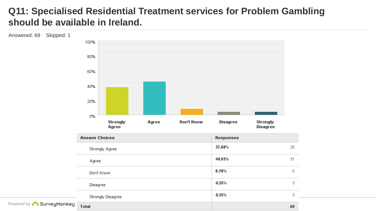#### **Q11: Specialised Residential Treatment services for Problem Gambling should be available in Ireland.**

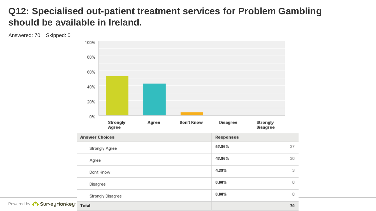#### **Q12: Specialised out-patient treatment services for Problem Gambling should be available in Ireland.**

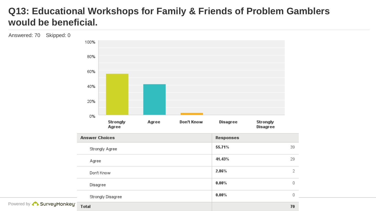#### **Q13: Educational Workshops for Family & Friends of Problem Gamblers would be beneficial.**

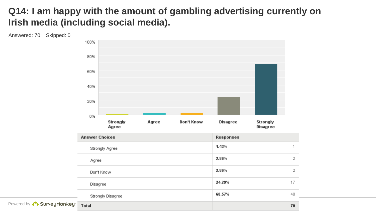### **Q14: I am happy with the amount of gambling advertising currently on Irish media (including social media).**

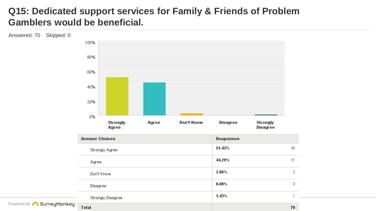#### **Q15: Dedicated support services for Family & Friends of Problem Gamblers would be beneficial.**

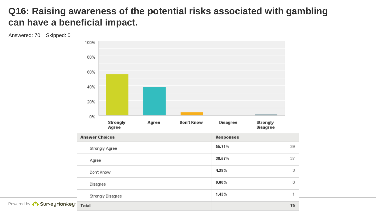#### **Q16: Raising awareness of the potential risks associated with gambling can have a beneficial impact.**

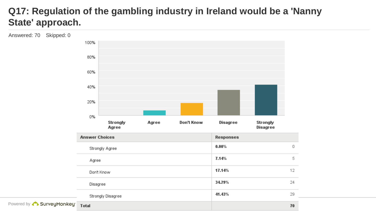#### **Q17: Regulation of the gambling industry in Ireland would be a 'Nanny State' approach.**

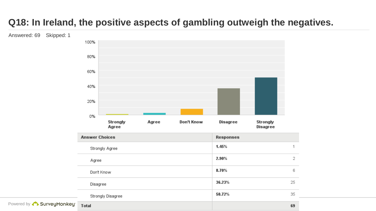# **Q18: In Ireland, the positive aspects of gambling outweigh the negatives.**

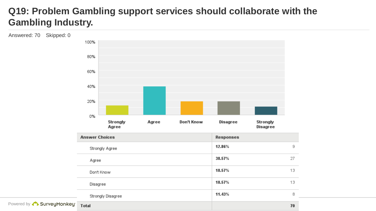#### **Q19: Problem Gambling support services should collaborate with the Gambling Industry.**